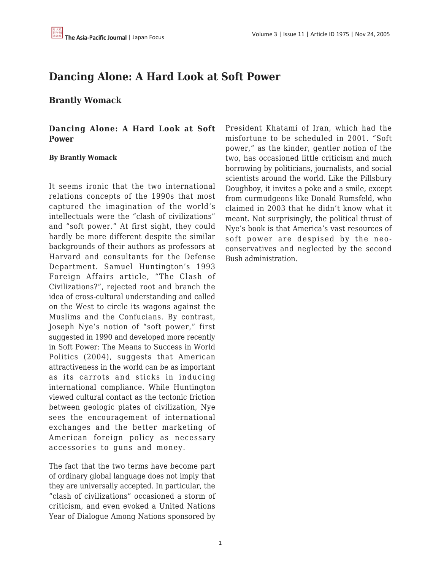# **Dancing Alone: A Hard Look at Soft Power**

# **Brantly Womack**

**Dancing Alone: A Hard Look at Soft Power**

### **By Brantly Womack**

It seems ironic that the two international relations concepts of the 1990s that most captured the imagination of the world's intellectuals were the "clash of civilizations" and "soft power." At first sight, they could hardly be more different despite the similar backgrounds of their authors as professors at Harvard and consultants for the Defense Department. Samuel Huntington's 1993 Foreign Affairs article, "The Clash of Civilizations?", rejected root and branch the idea of cross-cultural understanding and called on the West to circle its wagons against the Muslims and the Confucians. By contrast, Joseph Nye's notion of "soft power," first suggested in 1990 and developed more recently in Soft Power: The Means to Success in World Politics (2004), suggests that American attractiveness in the world can be as important as its carrots and sticks in inducing international compliance. While Huntington viewed cultural contact as the tectonic friction between geologic plates of civilization, Nye sees the encouragement of international exchanges and the better marketing of American foreign policy as necessary accessories to guns and money.

The fact that the two terms have become part of ordinary global language does not imply that they are universally accepted. In particular, the "clash of civilizations" occasioned a storm of criticism, and even evoked a United Nations Year of Dialogue Among Nations sponsored by President Khatami of Iran, which had the misfortune to be scheduled in 2001. "Soft power," as the kinder, gentler notion of the two, has occasioned little criticism and much borrowing by politicians, journalists, and social scientists around the world. Like the Pillsbury Doughboy, it invites a poke and a smile, except from curmudgeons like Donald Rumsfeld, who claimed in 2003 that he didn't know what it meant. Not surprisingly, the political thrust of Nye's book is that America's vast resources of soft power are despised by the neoconservatives and neglected by the second Bush administration.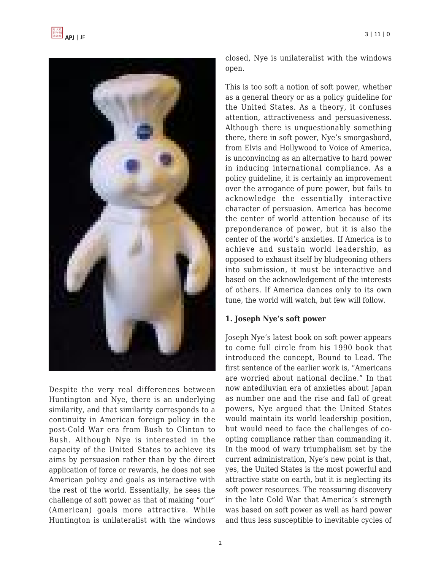



Despite the very real differences between Huntington and Nye, there is an underlying similarity, and that similarity corresponds to a continuity in American foreign policy in the post-Cold War era from Bush to Clinton to Bush. Although Nye is interested in the capacity of the United States to achieve its aims by persuasion rather than by the direct application of force or rewards, he does not see American policy and goals as interactive with the rest of the world. Essentially, he sees the challenge of soft power as that of making "our" (American) goals more attractive. While Huntington is unilateralist with the windows closed, Nye is unilateralist with the windows open.

This is too soft a notion of soft power, whether as a general theory or as a policy guideline for the United States. As a theory, it confuses attention, attractiveness and persuasiveness. Although there is unquestionably something there, there in soft power, Nye's smorgasbord, from Elvis and Hollywood to Voice of America, is unconvincing as an alternative to hard power in inducing international compliance. As a policy guideline, it is certainly an improvement over the arrogance of pure power, but fails to acknowledge the essentially interactive character of persuasion. America has become the center of world attention because of its preponderance of power, but it is also the center of the world's anxieties. If America is to achieve and sustain world leadership, as opposed to exhaust itself by bludgeoning others into submission, it must be interactive and based on the acknowledgement of the interests of others. If America dances only to its own tune, the world will watch, but few will follow.

#### **1. Joseph Nye's soft power**

Joseph Nye's latest book on soft power appears to come full circle from his 1990 book that introduced the concept, Bound to Lead. The first sentence of the earlier work is, "Americans are worried about national decline." In that now antediluvian era of anxieties about Japan as number one and the rise and fall of great powers, Nye argued that the United States would maintain its world leadership position, but would need to face the challenges of coopting compliance rather than commanding it. In the mood of wary triumphalism set by the current administration, Nye's new point is that, yes, the United States is the most powerful and attractive state on earth, but it is neglecting its soft power resources. The reassuring discovery in the late Cold War that America's strength was based on soft power as well as hard power and thus less susceptible to inevitable cycles of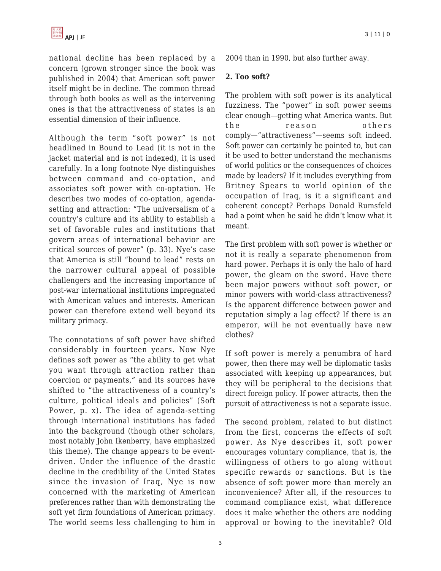national decline has been replaced by a concern (grown stronger since the book was published in 2004) that American soft power itself might be in decline. The common thread through both books as well as the intervening ones is that the attractiveness of states is an essential dimension of their influence.

Although the term "soft power" is not headlined in Bound to Lead (it is not in the jacket material and is not indexed), it is used carefully. In a long footnote Nye distinguishes between command and co-optation, and associates soft power with co-optation. He describes two modes of co-optation, agendasetting and attraction: "The universalism of a country's culture and its ability to establish a set of favorable rules and institutions that govern areas of international behavior are critical sources of power" (p. 33). Nye's case that America is still "bound to lead" rests on the narrower cultural appeal of possible challengers and the increasing importance of post-war international institutions impregnated with American values and interests. American power can therefore extend well beyond its military primacy.

The connotations of soft power have shifted considerably in fourteen years. Now Nye defines soft power as "the ability to get what you want through attraction rather than coercion or payments," and its sources have shifted to "the attractiveness of a country's culture, political ideals and policies" (Soft Power, p. x). The idea of agenda-setting through international institutions has faded into the background (though other scholars, most notably John Ikenberry, have emphasized this theme). The change appears to be eventdriven. Under the influence of the drastic decline in the credibility of the United States since the invasion of Iraq, Nye is now concerned with the marketing of American preferences rather than with demonstrating the soft yet firm foundations of American primacy. The world seems less challenging to him in 2004 than in 1990, but also further away.

# **2. Too soft?**

The problem with soft power is its analytical fuzziness. The "power" in soft power seems clear enough—getting what America wants. But the reason others comply—"attractiveness"—seems soft indeed. Soft power can certainly be pointed to, but can it be used to better understand the mechanisms of world politics or the consequences of choices made by leaders? If it includes everything from Britney Spears to world opinion of the occupation of Iraq, is it a significant and coherent concept? Perhaps Donald Rumsfeld had a point when he said he didn't know what it meant.

The first problem with soft power is whether or not it is really a separate phenomenon from hard power. Perhaps it is only the halo of hard power, the gleam on the sword. Have there been major powers without soft power, or minor powers with world-class attractiveness? Is the apparent difference between power and reputation simply a lag effect? If there is an emperor, will he not eventually have new clothes?

If soft power is merely a penumbra of hard power, then there may well be diplomatic tasks associated with keeping up appearances, but they will be peripheral to the decisions that direct foreign policy. If power attracts, then the pursuit of attractiveness is not a separate issue.

The second problem, related to but distinct from the first, concerns the effects of soft power. As Nye describes it, soft power encourages voluntary compliance, that is, the willingness of others to go along without specific rewards or sanctions. But is the absence of soft power more than merely an inconvenience? After all, if the resources to command compliance exist, what difference does it make whether the others are nodding approval or bowing to the inevitable? Old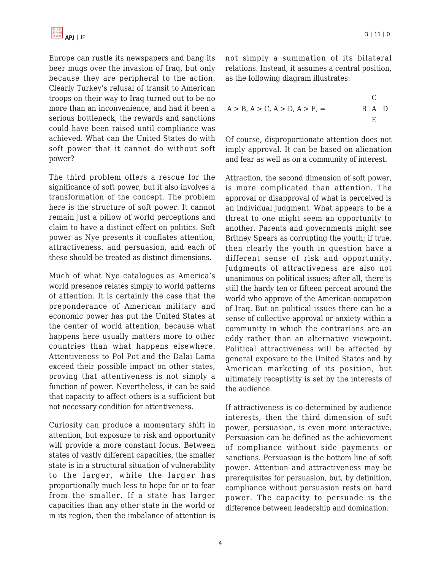Europe can rustle its newspapers and bang its beer mugs over the invasion of Iraq, but only because they are peripheral to the action. Clearly Turkey's refusal of transit to American troops on their way to Iraq turned out to be no more than an inconvenience, and had it been a serious bottleneck, the rewards and sanctions could have been raised until compliance was achieved. What can the United States do with soft power that it cannot do without soft power?

The third problem offers a rescue for the significance of soft power, but it also involves a transformation of the concept. The problem here is the structure of soft power. It cannot remain just a pillow of world perceptions and claim to have a distinct effect on politics. Soft power as Nye presents it conflates attention, attractiveness, and persuasion, and each of these should be treated as distinct dimensions.

Much of what Nye catalogues as America's world presence relates simply to world patterns of attention. It is certainly the case that the preponderance of American military and economic power has put the United States at the center of world attention, because what happens here usually matters more to other countries than what happens elsewhere. Attentiveness to Pol Pot and the Dalai Lama exceed their possible impact on other states, proving that attentiveness is not simply a function of power. Nevertheless, it can be said that capacity to affect others is a sufficient but not necessary condition for attentiveness.

Curiosity can produce a momentary shift in attention, but exposure to risk and opportunity will provide a more constant focus. Between states of vastly different capacities, the smaller state is in a structural situation of vulnerability to the larger, while the larger has proportionally much less to hope for or to fear from the smaller. If a state has larger capacities than any other state in the world or in its region, then the imbalance of attention is not simply a summation of its bilateral relations. Instead, it assumes a central position, as the following diagram illustrates:

$$
A > B, A > C, A > D, A > E, =
$$
  
*B* A D  
*E*

Of course, disproportionate attention does not imply approval. It can be based on alienation and fear as well as on a community of interest.

Attraction, the second dimension of soft power, is more complicated than attention. The approval or disapproval of what is perceived is an individual judgment. What appears to be a threat to one might seem an opportunity to another. Parents and governments might see Britney Spears as corrupting the youth; if true, then clearly the youth in question have a different sense of risk and opportunity. Judgments of attractiveness are also not unanimous on political issues; after all, there is still the hardy ten or fifteen percent around the world who approve of the American occupation of Iraq. But on political issues there can be a sense of collective approval or anxiety within a community in which the contrarians are an eddy rather than an alternative viewpoint. Political attractiveness will be affected by general exposure to the United States and by American marketing of its position, but ultimately receptivity is set by the interests of the audience.

If attractiveness is co-determined by audience interests, then the third dimension of soft power, persuasion, is even more interactive. Persuasion can be defined as the achievement of compliance without side payments or sanctions. Persuasion is the bottom line of soft power. Attention and attractiveness may be prerequisites for persuasion, but, by definition, compliance without persuasion rests on hard power. The capacity to persuade is the difference between leadership and domination.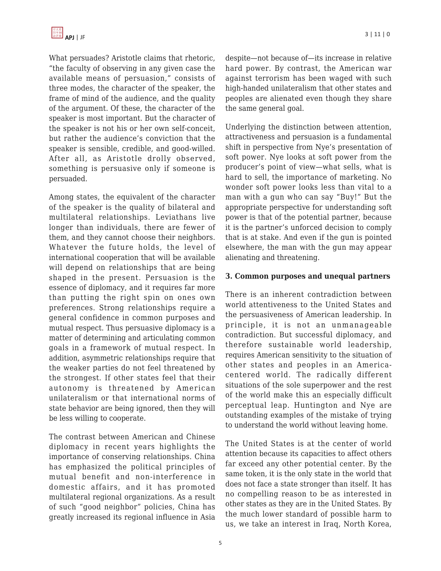What persuades? Aristotle claims that rhetoric, "the faculty of observing in any given case the available means of persuasion," consists of three modes, the character of the speaker, the frame of mind of the audience, and the quality of the argument. Of these, the character of the speaker is most important. But the character of the speaker is not his or her own self-conceit, but rather the audience's conviction that the speaker is sensible, credible, and good-willed. After all, as Aristotle drolly observed, something is persuasive only if someone is persuaded.

Among states, the equivalent of the character of the speaker is the quality of bilateral and multilateral relationships. Leviathans live longer than individuals, there are fewer of them, and they cannot choose their neighbors. Whatever the future holds, the level of international cooperation that will be available will depend on relationships that are being shaped in the present. Persuasion is the essence of diplomacy, and it requires far more than putting the right spin on ones own preferences. Strong relationships require a general confidence in common purposes and mutual respect. Thus persuasive diplomacy is a matter of determining and articulating common goals in a framework of mutual respect. In addition, asymmetric relationships require that the weaker parties do not feel threatened by the strongest. If other states feel that their autonomy is threatened by American unilateralism or that international norms of state behavior are being ignored, then they will be less willing to cooperate.

The contrast between American and Chinese diplomacy in recent years highlights the importance of conserving relationships. China has emphasized the political principles of mutual benefit and non-interference in domestic affairs, and it has promoted multilateral regional organizations. As a result of such "good neighbor" policies, China has greatly increased its regional influence in Asia despite—not because of—its increase in relative hard power. By contrast, the American war against terrorism has been waged with such high-handed unilateralism that other states and peoples are alienated even though they share the same general goal.

Underlying the distinction between attention, attractiveness and persuasion is a fundamental shift in perspective from Nye's presentation of soft power. Nye looks at soft power from the producer's point of view—what sells, what is hard to sell, the importance of marketing. No wonder soft power looks less than vital to a man with a gun who can say "Buy!" But the appropriate perspective for understanding soft power is that of the potential partner, because it is the partner's unforced decision to comply that is at stake. And even if the gun is pointed elsewhere, the man with the gun may appear alienating and threatening.

## **3. Common purposes and unequal partners**

There is an inherent contradiction between world attentiveness to the United States and the persuasiveness of American leadership. In principle, it is not an unmanageable contradiction. But successful diplomacy, and therefore sustainable world leadership, requires American sensitivity to the situation of other states and peoples in an Americacentered world. The radically different situations of the sole superpower and the rest of the world make this an especially difficult perceptual leap. Huntington and Nye are outstanding examples of the mistake of trying to understand the world without leaving home.

The United States is at the center of world attention because its capacities to affect others far exceed any other potential center. By the same token, it is the only state in the world that does not face a state stronger than itself. It has no compelling reason to be as interested in other states as they are in the United States. By the much lower standard of possible harm to us, we take an interest in Iraq, North Korea,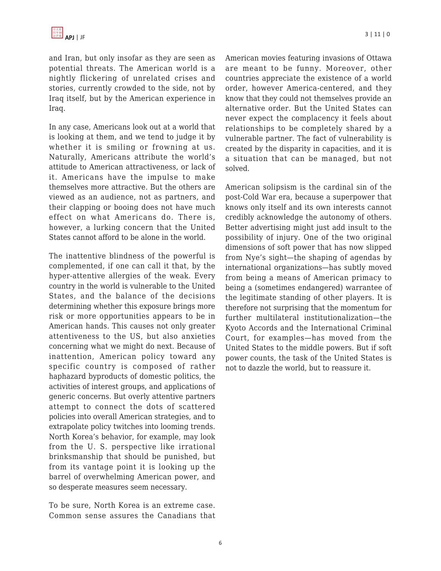and Iran, but only insofar as they are seen as potential threats. The American world is a nightly flickering of unrelated crises and stories, currently crowded to the side, not by Iraq itself, but by the American experience in Iraq.

In any case, Americans look out at a world that is looking at them, and we tend to judge it by whether it is smiling or frowning at us. Naturally, Americans attribute the world's attitude to American attractiveness, or lack of it. Americans have the impulse to make themselves more attractive. But the others are viewed as an audience, not as partners, and their clapping or booing does not have much effect on what Americans do. There is, however, a lurking concern that the United States cannot afford to be alone in the world.

The inattentive blindness of the powerful is complemented, if one can call it that, by the hyper-attentive allergies of the weak. Every country in the world is vulnerable to the United States, and the balance of the decisions determining whether this exposure brings more risk or more opportunities appears to be in American hands. This causes not only greater attentiveness to the US, but also anxieties concerning what we might do next. Because of inattention, American policy toward any specific country is composed of rather haphazard byproducts of domestic politics, the activities of interest groups, and applications of generic concerns. But overly attentive partners attempt to connect the dots of scattered policies into overall American strategies, and to extrapolate policy twitches into looming trends. North Korea's behavior, for example, may look from the U. S. perspective like irrational brinksmanship that should be punished, but from its vantage point it is looking up the barrel of overwhelming American power, and so desperate measures seem necessary.

To be sure, North Korea is an extreme case. Common sense assures the Canadians that American movies featuring invasions of Ottawa are meant to be funny. Moreover, other countries appreciate the existence of a world order, however America-centered, and they know that they could not themselves provide an alternative order. But the United States can never expect the complacency it feels about relationships to be completely shared by a vulnerable partner. The fact of vulnerability is created by the disparity in capacities, and it is a situation that can be managed, but not solved.

American solipsism is the cardinal sin of the post-Cold War era, because a superpower that knows only itself and its own interests cannot credibly acknowledge the autonomy of others. Better advertising might just add insult to the possibility of injury. One of the two original dimensions of soft power that has now slipped from Nye's sight—the shaping of agendas by international organizations—has subtly moved from being a means of American primacy to being a (sometimes endangered) warrantee of the legitimate standing of other players. It is therefore not surprising that the momentum for further multilateral institutionalization—the Kyoto Accords and the International Criminal Court, for examples—has moved from the United States to the middle powers. But if soft power counts, the task of the United States is not to dazzle the world, but to reassure it.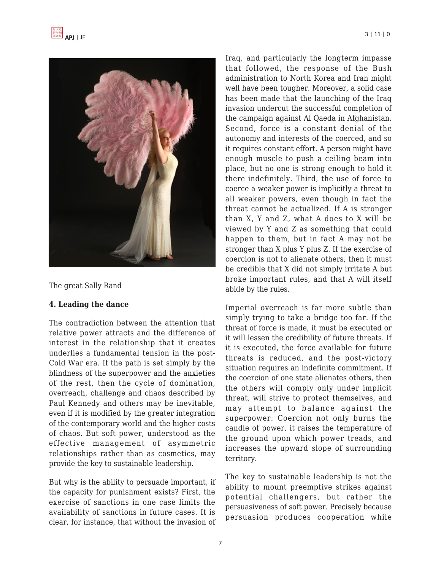



The great Sally Rand

#### **4. Leading the dance**

The contradiction between the attention that relative power attracts and the difference of interest in the relationship that it creates underlies a fundamental tension in the post-Cold War era. If the path is set simply by the blindness of the superpower and the anxieties of the rest, then the cycle of domination, overreach, challenge and chaos described by Paul Kennedy and others may be inevitable, even if it is modified by the greater integration of the contemporary world and the higher costs of chaos. But soft power, understood as the effective management of asymmetric relationships rather than as cosmetics, may provide the key to sustainable leadership.

But why is the ability to persuade important, if the capacity for punishment exists? First, the exercise of sanctions in one case limits the availability of sanctions in future cases. It is clear, for instance, that without the invasion of Iraq, and particularly the longterm impasse that followed, the response of the Bush administration to North Korea and Iran might well have been tougher. Moreover, a solid case has been made that the launching of the Iraq invasion undercut the successful completion of the campaign against Al Qaeda in Afghanistan. Second, force is a constant denial of the autonomy and interests of the coerced, and so it requires constant effort. A person might have enough muscle to push a ceiling beam into place, but no one is strong enough to hold it there indefinitely. Third, the use of force to coerce a weaker power is implicitly a threat to all weaker powers, even though in fact the threat cannot be actualized. If A is stronger than X, Y and Z, what A does to X will be viewed by Y and Z as something that could happen to them, but in fact A may not be stronger than X plus Y plus Z. If the exercise of coercion is not to alienate others, then it must be credible that X did not simply irritate A but broke important rules, and that A will itself abide by the rules.

Imperial overreach is far more subtle than simply trying to take a bridge too far. If the threat of force is made, it must be executed or it will lessen the credibility of future threats. If it is executed, the force available for future threats is reduced, and the post-victory situation requires an indefinite commitment. If the coercion of one state alienates others, then the others will comply only under implicit threat, will strive to protect themselves, and may attempt to balance against the superpower. Coercion not only burns the candle of power, it raises the temperature of the ground upon which power treads, and increases the upward slope of surrounding territory.

The key to sustainable leadership is not the ability to mount preemptive strikes against potential challengers, but rather the persuasiveness of soft power. Precisely because persuasion produces cooperation while